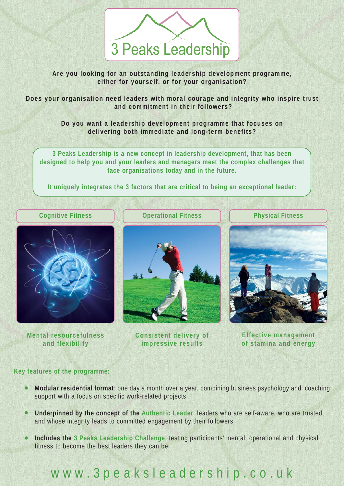

**Are you looking for an outstanding leadership development programme, either for yourself, or for your organisation?**

**Does your organisation need leaders with moral courage and integrity who inspire trust and commitment in their followers?**

> **Do you want a leadership development programme that focuses on delivering both immediate and long-term benefits?**

**3 Peaks Leadership is a new concept in leadership development, that has been designed to help you and your leaders and managers meet the complex challenges that face organisations today and in the future.** 

**It uniquely integrates the 3 factors that are critical to being an exceptional leader:**

### **Cognitive Fitness Operational Fitness**

**Mental resourcefulness and flexibility**



**Consistent delivery of impressive results**

**Physical Fitness**



**Effective management of stamina and energy** 

### **Key features of the programme:**

- **Modular residential format**: one day a month over a year, combining business psychology and coaching support with a focus on specific work-related projects
- **Underpinned by the concept of the Authentic Leader**: leaders who are self-aware, who are trusted, and whose integrity leads to committed engagement by their followers
- **Includes the 3 Peaks Leadership Challenge**: testing participants' mental, operational and physical fitness to become the best leaders they can be

## www.3peaksleadership.co.uk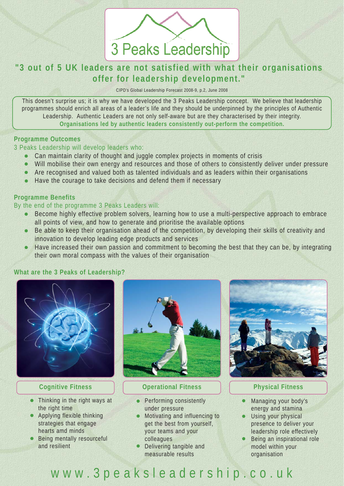# 3 Peaks Leadership

### **"3 out of 5 UK leaders are not satisfied with what their organisations offer for leadership development."**

CIPD's Global Leadership Forecast 2008-9, p.2, June 2008

This doesn't surprise us; it is why we have developed the 3 Peaks Leadership concept. We believe that leadership programmes should enrich all areas of a leader's life and they should be underpinned by the principles of Authentic Leadership. Authentic Leaders are not only self-aware but are they characterised by their integrity. **Organisations led by authentic leaders consistently out-perform the competition.**

### **Programme Outcomes**

3 Peaks Leadership will develop leaders who:

- Can maintain clarity of thought and juggle complex projects in moments of crisis  $\bullet$
- $\bullet$ Will mobilise their own energy and resources and those of others to consistently deliver under pressure
- Are recognised and valued both as talented individuals and as leaders within their organisations
- Have the courage to take decisions and defend them if necessary

### **Programme Benefits**

### By the end of the programme 3 Peaks Leaders will:

- Become highly effective problem solvers, learning how to use a multi-perspective approach to embrace all points of view, and how to generate and prioritise the available options
- Be able to keep their organisation ahead of the competition, by developing their skills of creativity and  $\bullet$ innovation to develop leading edge products and services
- Have increased their own passion and commitment to becoming the best that they can be, by integrating  $\bullet$ their own moral compass with the values of their organisation

### **What are the 3 Peaks of Leadership?**



- Thinking in the right ways at the right time
- Applying flexible thinking strategies that engage hearts amd minds
- **Being mentally resourceful** and resilient



### **Cognitive Fitness Physical Fitness Physical Fitness**

- Performing consistently under pressure
- Motivating and influencing to get the best from yourself, your teams and your colleagues
- Delivering tangible and measurable results



- $\bullet$ Managing your body's energy and stamina
- Using your physical  $\bullet$ presence to deliver your leadership role effectively
- Being an inspirational role model within your organisation

### www.3peaksleadership.co.uk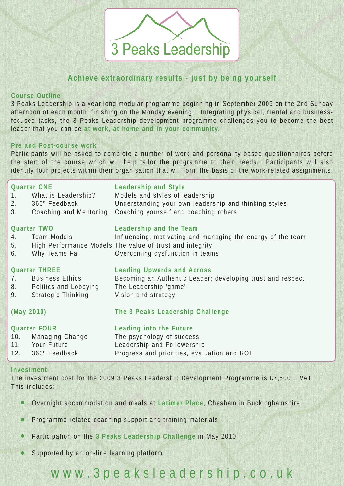# 3 Peaks Leadership

### **Achieve extraordinary results - just by being yourself**

### **Course Outline**

3 Peaks Leadership is a year long modular programme beginning in September 2009 on the 2nd Sunday afternoon of each month, finishing on the Monday evening. Integrating physical, mental and businessfocused tasks, the 3 Peaks Leadership development programme challenges you to become the best leader that you can be **at work, at home and in your community.**

### **Pre and Post-course work**

Participants will be asked to complete a number of work and personality based questionnaires before the start of the course which will help tailor the programme to their needs. Participants will also identify four projects within their organisation that will form the basis of the work-related assignments.

| <b>Quarter ONE</b>  |                            | <b>Leadership and Style</b>                                 |
|---------------------|----------------------------|-------------------------------------------------------------|
|                     | 1. What is Leadership?     | Models and styles of leadership                             |
|                     | 2. 360° Feedback           | Understanding your own leadership and thinking styles       |
| 3.                  | Coaching and Mentoring     | Coaching yourself and coaching others                       |
| <b>Quarter TWO</b>  |                            | Leadership and the Team                                     |
|                     | 4. Team Models             | Influencing, motivating and managing the energy of the team |
|                     |                            | 5. High Performance Models The value of trust and integrity |
| 6.                  | Why Teams Fail             | Overcoming dysfunction in teams                             |
|                     |                            |                                                             |
|                     | <b>Quarter THREE</b>       | <b>Leading Upwards and Across</b>                           |
|                     | 7. Business Ethics         | Becoming an Authentic Leader; developing trust and respect  |
|                     | 8. Politics and Lobbying   | The Leadership 'game'                                       |
| 9.                  | <b>Strategic Thinking</b>  | Vision and strategy                                         |
| (May 2010)          |                            | The 3 Peaks Leadership Challenge                            |
|                     |                            |                                                             |
| <b>Quarter FOUR</b> |                            | Leading into the Future                                     |
| 10.                 | Managing Change            | The psychology of success                                   |
|                     | 11. Your Future            | Leadership and Followership                                 |
|                     | $12.$ $360^\circ$ Feedback | Progress and priorities, evaluation and ROI                 |
|                     |                            |                                                             |

### **Investment**

The investment cost for the 2009 3 Peaks Leadership Development Programme is £7,500 + VAT. This includes:

- Overnight accommodation and meals at **Latimer Place**, Chesham in Buckinghamshire
- Programme related coaching support and training materials
- Participation on the **3 Peaks Leadership Challenge** in May 2010
- Supported by an on-line learning platform

## www.3peaksleadership.co.uk